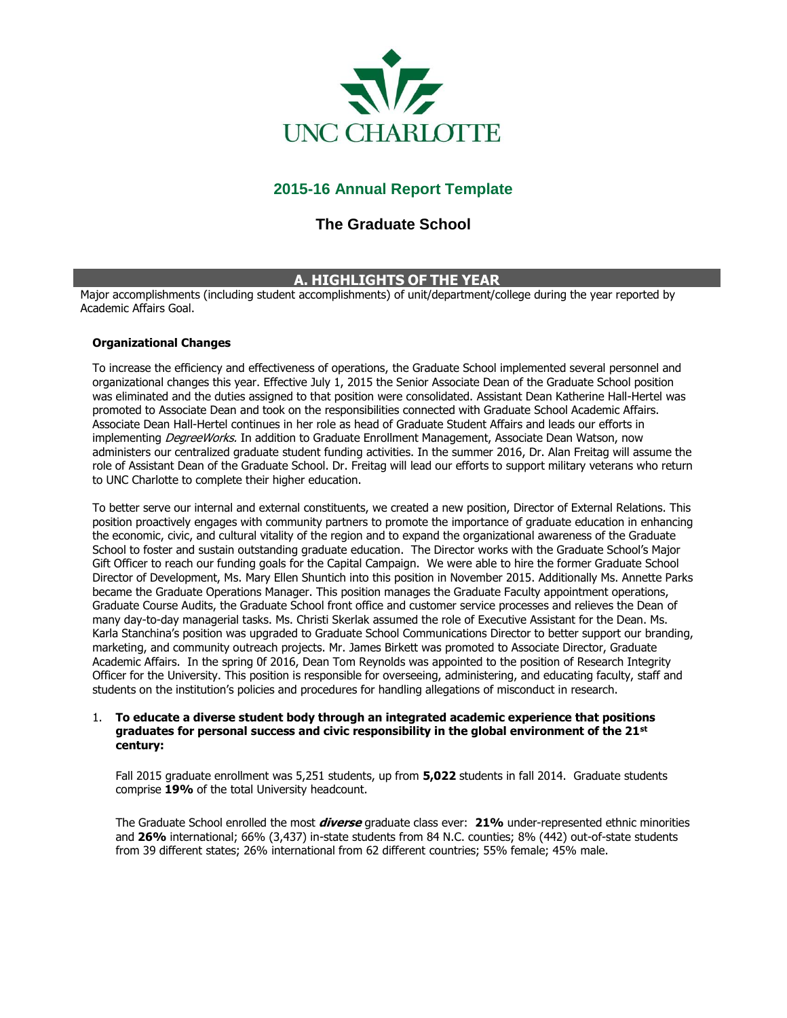

# **2015-16 Annual Report Template**

# **The Graduate School**

## **A. HIGHLIGHTS OF THE YEAR**

Major accomplishments (including student accomplishments) of unit/department/college during the year reported by Academic Affairs Goal.

### **Organizational Changes**

To increase the efficiency and effectiveness of operations, the Graduate School implemented several personnel and organizational changes this year. Effective July 1, 2015 the Senior Associate Dean of the Graduate School position was eliminated and the duties assigned to that position were consolidated. Assistant Dean Katherine Hall-Hertel was promoted to Associate Dean and took on the responsibilities connected with Graduate School Academic Affairs. Associate Dean Hall-Hertel continues in her role as head of Graduate Student Affairs and leads our efforts in implementing DegreeWorks. In addition to Graduate Enrollment Management, Associate Dean Watson, now administers our centralized graduate student funding activities. In the summer 2016, Dr. Alan Freitag will assume the role of Assistant Dean of the Graduate School. Dr. Freitag will lead our efforts to support military veterans who return to UNC Charlotte to complete their higher education.

To better serve our internal and external constituents, we created a new position, Director of External Relations. This position proactively engages with community partners to promote the importance of graduate education in enhancing the economic, civic, and cultural vitality of the region and to expand the organizational awareness of the Graduate School to foster and sustain outstanding graduate education. The Director works with the Graduate School's Major Gift Officer to reach our funding goals for the Capital Campaign. We were able to hire the former Graduate School Director of Development, Ms. Mary Ellen Shuntich into this position in November 2015. Additionally Ms. Annette Parks became the Graduate Operations Manager. This position manages the Graduate Faculty appointment operations, Graduate Course Audits, the Graduate School front office and customer service processes and relieves the Dean of many day-to-day managerial tasks. Ms. Christi Skerlak assumed the role of Executive Assistant for the Dean. Ms. Karla Stanchina's position was upgraded to Graduate School Communications Director to better support our branding, marketing, and community outreach projects. Mr. James Birkett was promoted to Associate Director, Graduate Academic Affairs. In the spring 0f 2016, Dean Tom Reynolds was appointed to the position of Research Integrity Officer for the University. This position is responsible for overseeing, administering, and educating faculty, staff and students on the institution's policies and procedures for handling allegations of misconduct in research.

### 1. **To educate a diverse student body through an integrated academic experience that positions graduates for personal success and civic responsibility in the global environment of the 21st century:**

Fall 2015 graduate enrollment was 5,251 students, up from **5,022** students in fall 2014. Graduate students comprise **19%** of the total University headcount.

The Graduate School enrolled the most **diverse** graduate class ever: **21%** under-represented ethnic minorities and **26%** international; 66% (3,437) in-state students from 84 N.C. counties; 8% (442) out-of-state students from 39 different states; 26% international from 62 different countries; 55% female; 45% male.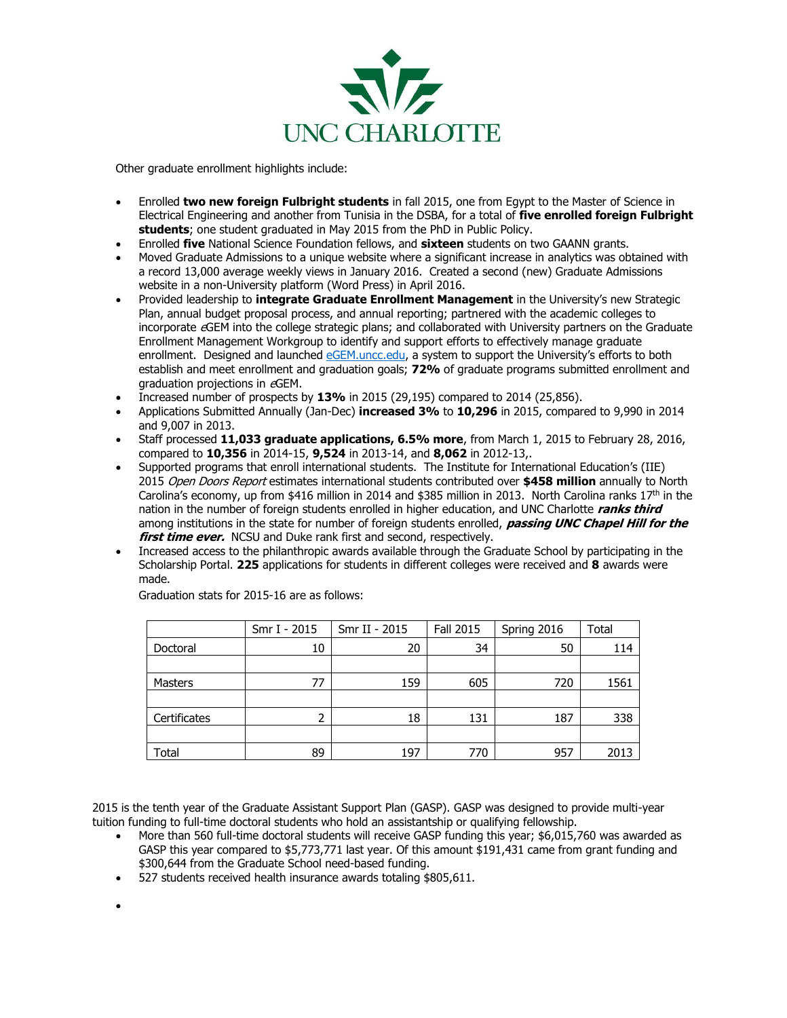

Other graduate enrollment highlights include:

- Enrolled **two new foreign Fulbright students** in fall 2015, one from Egypt to the Master of Science in Electrical Engineering and another from Tunisia in the DSBA, for a total of **five enrolled foreign Fulbright students**; one student graduated in May 2015 from the PhD in Public Policy.
- Enrolled **five** National Science Foundation fellows, and **sixteen** students on two GAANN grants.
- Moved Graduate Admissions to a unique website where a significant increase in analytics was obtained with a record 13,000 average weekly views in January 2016. Created a second (new) Graduate Admissions website in a non-University platform (Word Press) in April 2016.
- Provided leadership to **integrate Graduate Enrollment Management** in the University's new Strategic Plan, annual budget proposal process, and annual reporting; partnered with the academic colleges to incorporate eGEM into the college strategic plans; and collaborated with University partners on the Graduate Enrollment Management Workgroup to identify and support efforts to effectively manage graduate enrollment. Designed and launched [eGEM.uncc.edu](file:///C:/Users/arparks/AppData/Local/Microsoft/Windows/Temporary%20Internet%20Files/Content.Outlook/JZ96H9WQ/egem.uncc.edu), a system to support the University's efforts to both establish and meet enrollment and graduation goals; **72%** of graduate programs submitted enrollment and graduation projections in eGEM.
- Increased number of prospects by **13%** in 2015 (29,195) compared to 2014 (25,856).
- Applications Submitted Annually (Jan-Dec) **increased 3%** to **10,296** in 2015, compared to 9,990 in 2014 and 9,007 in 2013.
- Staff processed **11,033 graduate applications, 6.5% more**, from March 1, 2015 to February 28, 2016, compared to **10,356** in 2014-15, **9,524** in 2013-14, and **8,062** in 2012-13,.
- Supported programs that enroll international students. The Institute for International Education's (IIE) 2015 Open Doors Report estimates international students contributed over **\$458 million** annually to North Carolina's economy, up from \$416 million in 2014 and \$385 million in 2013. North Carolina ranks  $17<sup>th</sup>$  in the nation in the number of foreign students enrolled in higher education, and UNC Charlotte **ranks third**  among institutions in the state for number of foreign students enrolled, **passing UNC Chapel Hill for the first time ever.** NCSU and Duke rank first and second, respectively.
- Increased access to the philanthropic awards available through the Graduate School by participating in the Scholarship Portal. **225** applications for students in different colleges were received and **8** awards were made.

|              | Smr I - 2015 | Smr II - 2015 | <b>Fall 2015</b> | Spring 2016 | Total |
|--------------|--------------|---------------|------------------|-------------|-------|
| Doctoral     | 10           | 20            | 34               | 50          | 114   |
|              |              |               |                  |             |       |
| Masters      | 77           | 159           | 605              | 720         | 1561  |
|              |              |               |                  |             |       |
| Certificates | 2            | 18            | 131              | 187         | 338   |
|              |              |               |                  |             |       |
| Total        | 89           | 197           | 770              | 957         | 2013  |

Graduation stats for 2015-16 are as follows:

2015 is the tenth year of the Graduate Assistant Support Plan (GASP). GASP was designed to provide multi-year tuition funding to full-time doctoral students who hold an assistantship or qualifying fellowship.

- More than 560 full-time doctoral students will receive GASP funding this year; \$6,015,760 was awarded as GASP this year compared to \$5,773,771 last year. Of this amount \$191,431 came from grant funding and \$300,644 from the Graduate School need-based funding.
- 527 students received health insurance awards totaling \$805,611.

 $\bullet$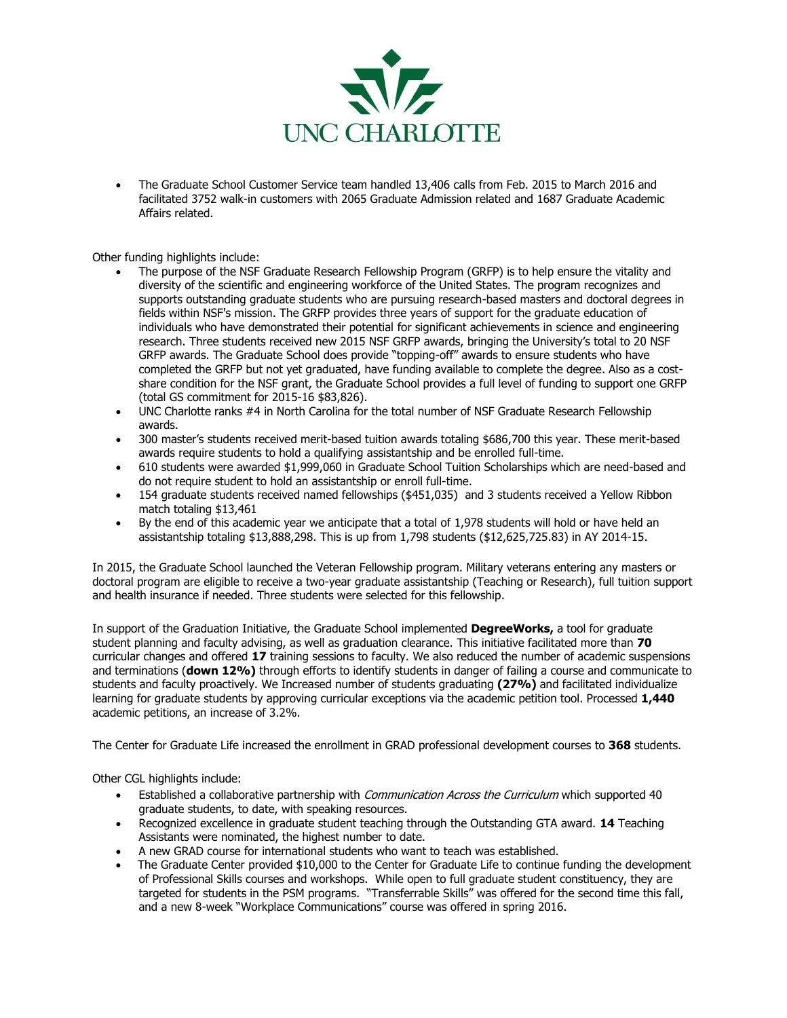

 The Graduate School Customer Service team handled 13,406 calls from Feb. 2015 to March 2016 and facilitated 3752 walk-in customers with 2065 Graduate Admission related and 1687 Graduate Academic Affairs related.

Other funding highlights include:

- The purpose of the NSF Graduate Research Fellowship Program (GRFP) is to help ensure the vitality and diversity of the scientific and engineering workforce of the United States. The program recognizes and supports outstanding graduate students who are pursuing research-based masters and doctoral degrees in fields within NSF's mission. The GRFP provides three years of support for the graduate education of individuals who have demonstrated their potential for significant achievements in science and engineering research. Three students received new 2015 NSF GRFP awards, bringing the University's total to 20 NSF GRFP awards. The Graduate School does provide "topping-off" awards to ensure students who have completed the GRFP but not yet graduated, have funding available to complete the degree. Also as a costshare condition for the NSF grant, the Graduate School provides a full level of funding to support one GRFP (total GS commitment for 2015-16 \$83,826).
- UNC Charlotte ranks #4 in North Carolina for the total number of NSF Graduate Research Fellowship awards.
- 300 master's students received merit-based tuition awards totaling \$686,700 this year. These merit-based awards require students to hold a qualifying assistantship and be enrolled full-time.
- 610 students were awarded \$1,999,060 in Graduate School Tuition Scholarships which are need-based and do not require student to hold an assistantship or enroll full-time.
- 154 graduate students received named fellowships (\$451,035) and 3 students received a Yellow Ribbon match totaling \$13,461
- By the end of this academic year we anticipate that a total of 1,978 students will hold or have held an assistantship totaling \$13,888,298. This is up from 1,798 students (\$12,625,725.83) in AY 2014-15.

In 2015, the Graduate School launched the Veteran Fellowship program. Military veterans entering any masters or doctoral program are eligible to receive a two-year graduate assistantship (Teaching or Research), full tuition support and health insurance if needed. Three students were selected for this fellowship.

In support of the Graduation Initiative, the Graduate School implemented **DegreeWorks,** a tool for graduate student planning and faculty advising, as well as graduation clearance. This initiative facilitated more than **70** curricular changes and offered **17** training sessions to faculty. We also reduced the number of academic suspensions and terminations (**down 12%)** through efforts to identify students in danger of failing a course and communicate to students and faculty proactively. We Increased number of students graduating **(27%)** and facilitated individualize learning for graduate students by approving curricular exceptions via the academic petition tool. Processed **1,440**  academic petitions, an increase of 3.2%.

The Center for Graduate Life increased the enrollment in GRAD professional development courses to **368** students.

Other CGL highlights include:

- Established a collaborative partnership with *Communication Across the Curriculum* which supported 40 graduate students, to date, with speaking resources.
- Recognized excellence in graduate student teaching through the Outstanding GTA award. **14** Teaching Assistants were nominated, the highest number to date.
- A new GRAD course for international students who want to teach was established.
- The Graduate Center provided \$10,000 to the Center for Graduate Life to continue funding the development of Professional Skills courses and workshops. While open to full graduate student constituency, they are targeted for students in the PSM programs. "Transferrable Skills" was offered for the second time this fall, and a new 8-week "Workplace Communications" course was offered in spring 2016.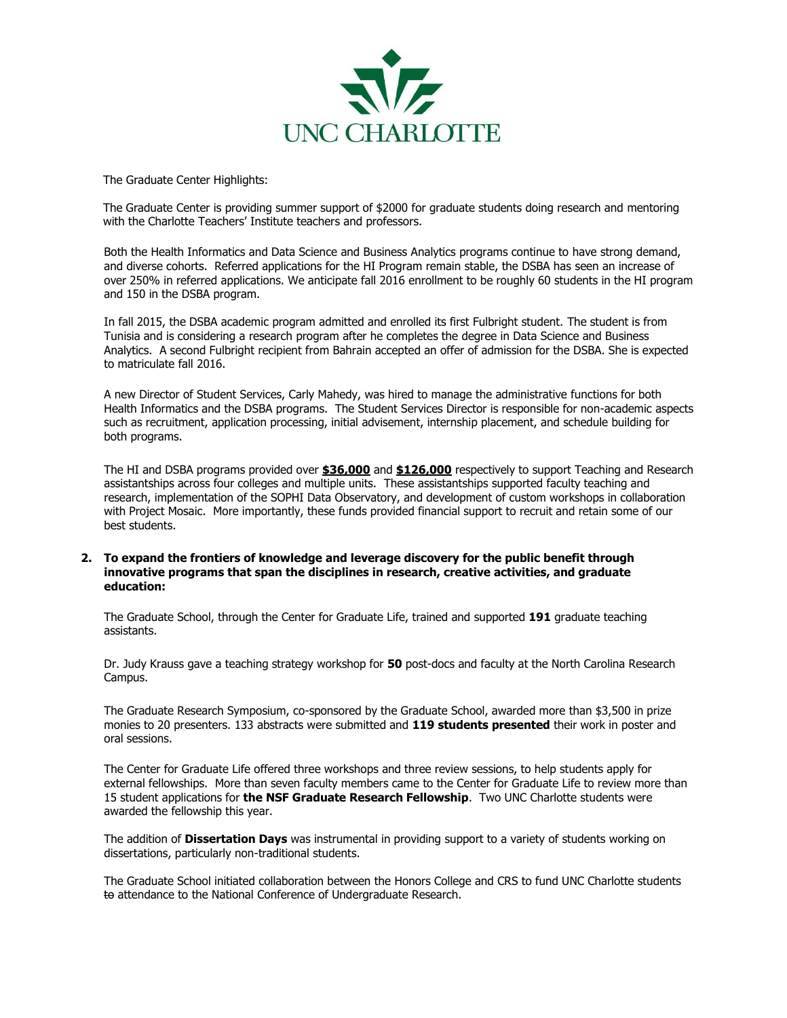

The Graduate Center Highlights:

The Graduate Center is providing summer support of \$2000 for graduate students doing research and mentoring with the Charlotte Teachers' Institute teachers and professors.

Both the Health Informatics and Data Science and Business Analytics programs continue to have strong demand, and diverse cohorts. Referred applications for the HI Program remain stable, the DSBA has seen an increase of over 250% in referred applications. We anticipate fall 2016 enrollment to be roughly 60 students in the HI program and 150 in the DSBA program.

In fall 2015, the DSBA academic program admitted and enrolled its first Fulbright student. The student is from Tunisia and is considering a research program after he completes the degree in Data Science and Business Analytics. A second Fulbright recipient from Bahrain accepted an offer of admission for the DSBA. She is expected to matriculate fall 2016.

A new Director of Student Services, Carly Mahedy, was hired to manage the administrative functions for both Health Informatics and the DSBA programs. The Student Services Director is responsible for non-academic aspects such as recruitment, application processing, initial advisement, internship placement, and schedule building for both programs.

The HI and DSBA programs provided over **\$36,000** and **\$126,000** respectively to support Teaching and Research assistantships across four colleges and multiple units. These assistantships supported faculty teaching and research, implementation of the SOPHI Data Observatory, and development of custom workshops in collaboration with Project Mosaic. More importantly, these funds provided financial support to recruit and retain some of our best students.

#### **2. To expand the frontiers of knowledge and leverage discovery for the public benefit through innovative programs that span the disciplines in research, creative activities, and graduate education:**

The Graduate School, through the Center for Graduate Life, trained and supported **191** graduate teaching assistants.

Dr. Judy Krauss gave a teaching strategy workshop for **50** post-docs and faculty at the North Carolina Research Campus.

The Graduate Research Symposium, co-sponsored by the Graduate School, awarded more than \$3,500 in prize monies to 20 presenters. 133 abstracts were submitted and **119 students presented** their work in poster and oral sessions.

The Center for Graduate Life offered three workshops and three review sessions, to help students apply for external fellowships. More than seven faculty members came to the Center for Graduate Life to review more than 15 student applications for **the NSF Graduate Research Fellowship**. Two UNC Charlotte students were awarded the fellowship this year.

The addition of **Dissertation Days** was instrumental in providing support to a variety of students working on dissertations, particularly non-traditional students.

The Graduate School initiated collaboration between the Honors College and CRS to fund UNC Charlotte students to attendance to the National Conference of Undergraduate Research.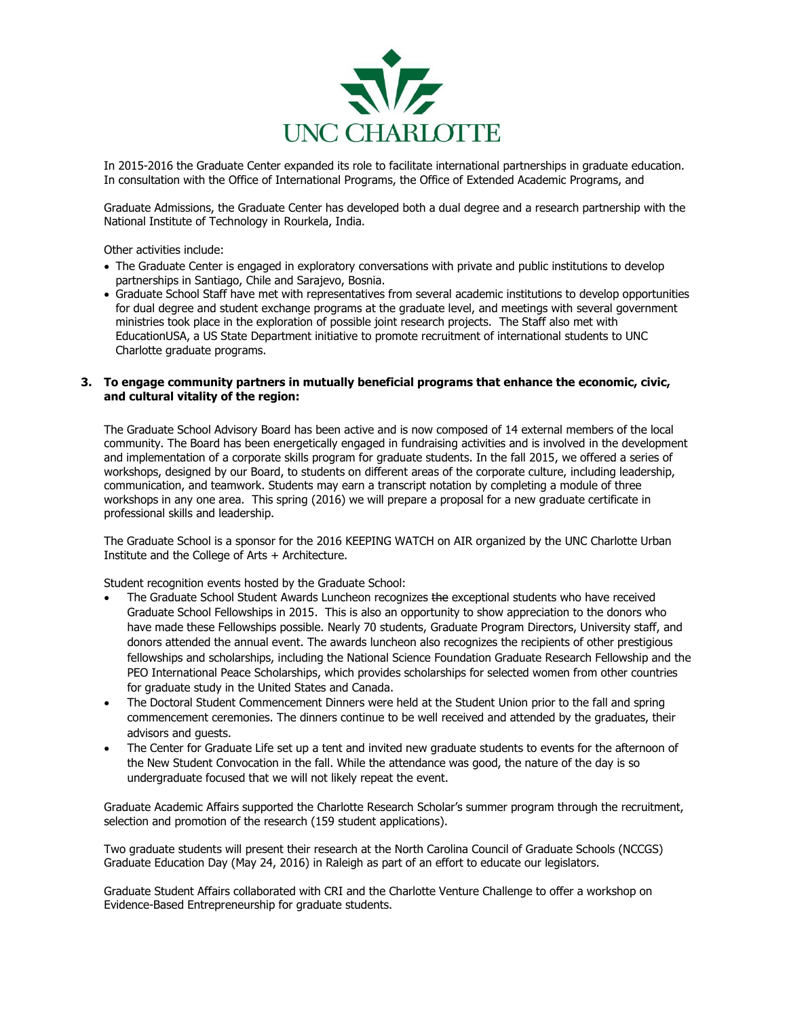

In 2015-2016 the Graduate Center expanded its role to facilitate international partnerships in graduate education. In consultation with the Office of International Programs, the Office of Extended Academic Programs, and

Graduate Admissions, the Graduate Center has developed both a dual degree and a research partnership with the National Institute of Technology in Rourkela, India.

Other activities include:

- The Graduate Center is engaged in exploratory conversations with private and public institutions to develop partnerships in Santiago, Chile and Sarajevo, Bosnia.
- Graduate School Staff have met with representatives from several academic institutions to develop opportunities for dual degree and student exchange programs at the graduate level, and meetings with several government ministries took place in the exploration of possible joint research projects. The Staff also met with EducationUSA, a US State Department initiative to promote recruitment of international students to UNC Charlotte graduate programs.

#### **3. To engage community partners in mutually beneficial programs that enhance the economic, civic, and cultural vitality of the region:**

The Graduate School Advisory Board has been active and is now composed of 14 external members of the local community. The Board has been energetically engaged in fundraising activities and is involved in the development and implementation of a corporate skills program for graduate students. In the fall 2015, we offered a series of workshops, designed by our Board, to students on different areas of the corporate culture, including leadership, communication, and teamwork. Students may earn a transcript notation by completing a module of three workshops in any one area. This spring (2016) we will prepare a proposal for a new graduate certificate in professional skills and leadership.

The Graduate School is a sponsor for the 2016 KEEPING WATCH on AIR organized by the UNC Charlotte Urban Institute and the College of Arts + Architecture.

Student recognition events hosted by the Graduate School:

- The Graduate School Student Awards Luncheon recognizes the exceptional students who have received Graduate School Fellowships in 2015. This is also an opportunity to show appreciation to the donors who have made these Fellowships possible. Nearly 70 students, Graduate Program Directors, University staff, and donors attended the annual event. The awards luncheon also recognizes the recipients of other prestigious fellowships and scholarships, including the National Science Foundation Graduate Research Fellowship and the PEO International Peace Scholarships, which provides scholarships for selected women from other countries for graduate study in the United States and Canada.
- The Doctoral Student Commencement Dinners were held at the Student Union prior to the fall and spring commencement ceremonies. The dinners continue to be well received and attended by the graduates, their advisors and guests.
- The Center for Graduate Life set up a tent and invited new graduate students to events for the afternoon of the New Student Convocation in the fall. While the attendance was good, the nature of the day is so undergraduate focused that we will not likely repeat the event.

Graduate Academic Affairs supported the Charlotte Research Scholar's summer program through the recruitment, selection and promotion of the research (159 student applications).

Two graduate students will present their research at the North Carolina Council of Graduate Schools (NCCGS) Graduate Education Day (May 24, 2016) in Raleigh as part of an effort to educate our legislators.

Graduate Student Affairs collaborated with CRI and the Charlotte Venture Challenge to offer a workshop on Evidence-Based Entrepreneurship for graduate students.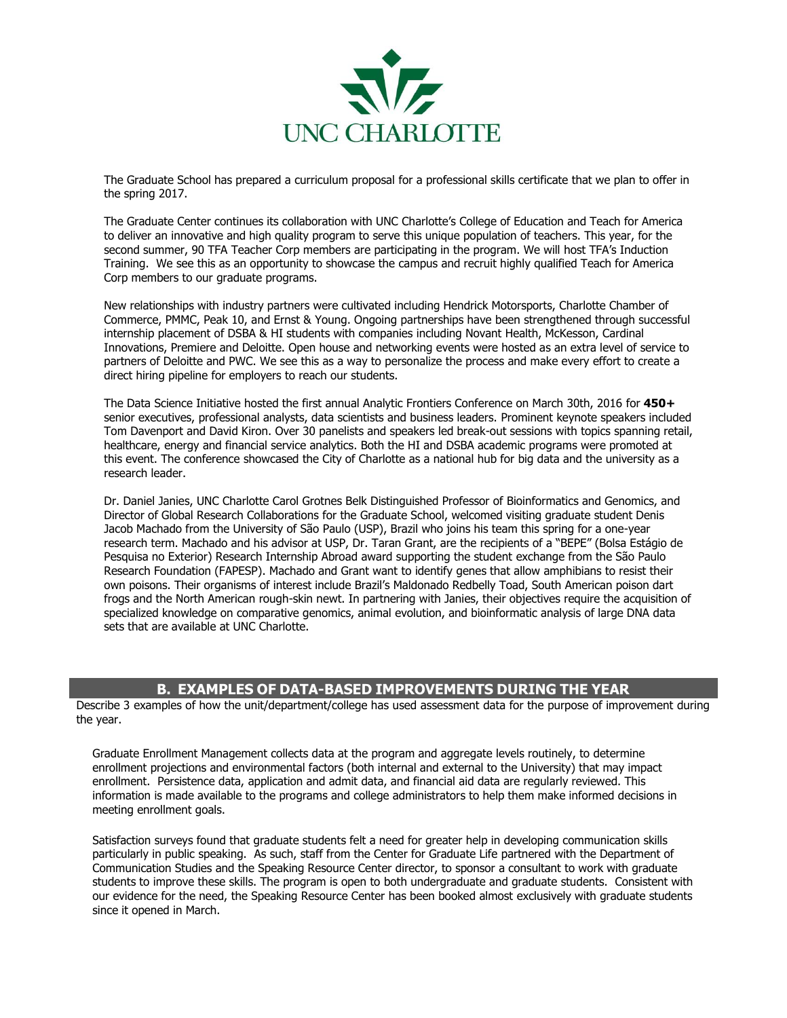

The Graduate School has prepared a curriculum proposal for a professional skills certificate that we plan to offer in the spring 2017.

The Graduate Center continues its collaboration with UNC Charlotte's College of Education and Teach for America to deliver an innovative and high quality program to serve this unique population of teachers. This year, for the second summer, 90 TFA Teacher Corp members are participating in the program. We will host TFA's Induction Training. We see this as an opportunity to showcase the campus and recruit highly qualified Teach for America Corp members to our graduate programs.

New relationships with industry partners were cultivated including Hendrick Motorsports, Charlotte Chamber of Commerce, PMMC, Peak 10, and Ernst & Young. Ongoing partnerships have been strengthened through successful internship placement of DSBA & HI students with companies including Novant Health, McKesson, Cardinal Innovations, Premiere and Deloitte. Open house and networking events were hosted as an extra level of service to partners of Deloitte and PWC. We see this as a way to personalize the process and make every effort to create a direct hiring pipeline for employers to reach our students.

The Data Science Initiative hosted the first annual Analytic Frontiers Conference on March 30th, 2016 for **450+** senior executives, professional analysts, data scientists and business leaders. Prominent keynote speakers included Tom Davenport and David Kiron. Over 30 panelists and speakers led break-out sessions with topics spanning retail, healthcare, energy and financial service analytics. Both the HI and DSBA academic programs were promoted at this event. The conference showcased the City of Charlotte as a national hub for big data and the university as a research leader.

Dr. Daniel Janies, UNC Charlotte Carol Grotnes Belk Distinguished Professor of Bioinformatics and Genomics, and Director of Global Research Collaborations for the Graduate School, welcomed visiting graduate student Denis Jacob Machado from the University of São Paulo (USP), Brazil who joins his team this spring for a one-year research term. Machado and his advisor at USP, Dr. Taran Grant, are the recipients of a "BEPE" (Bolsa Estágio de Pesquisa no Exterior) Research Internship Abroad award supporting the student exchange from the São Paulo Research Foundation (FAPESP). Machado and Grant want to identify genes that allow amphibians to resist their own poisons. Their organisms of interest include Brazil's Maldonado Redbelly Toad, South American poison dart frogs and the North American rough-skin newt. In partnering with Janies, their objectives require the acquisition of specialized knowledge on comparative genomics, animal evolution, and bioinformatic analysis of large DNA data sets that are available at UNC Charlotte.

## **B. EXAMPLES OF DATA-BASED IMPROVEMENTS DURING THE YEAR**

Describe 3 examples of how the unit/department/college has used assessment data for the purpose of improvement during the year.

Graduate Enrollment Management collects data at the program and aggregate levels routinely, to determine enrollment projections and environmental factors (both internal and external to the University) that may impact enrollment. Persistence data, application and admit data, and financial aid data are regularly reviewed. This information is made available to the programs and college administrators to help them make informed decisions in meeting enrollment goals.

Satisfaction surveys found that graduate students felt a need for greater help in developing communication skills particularly in public speaking. As such, staff from the Center for Graduate Life partnered with the Department of Communication Studies and the Speaking Resource Center director, to sponsor a consultant to work with graduate students to improve these skills. The program is open to both undergraduate and graduate students. Consistent with our evidence for the need, the Speaking Resource Center has been booked almost exclusively with graduate students since it opened in March.